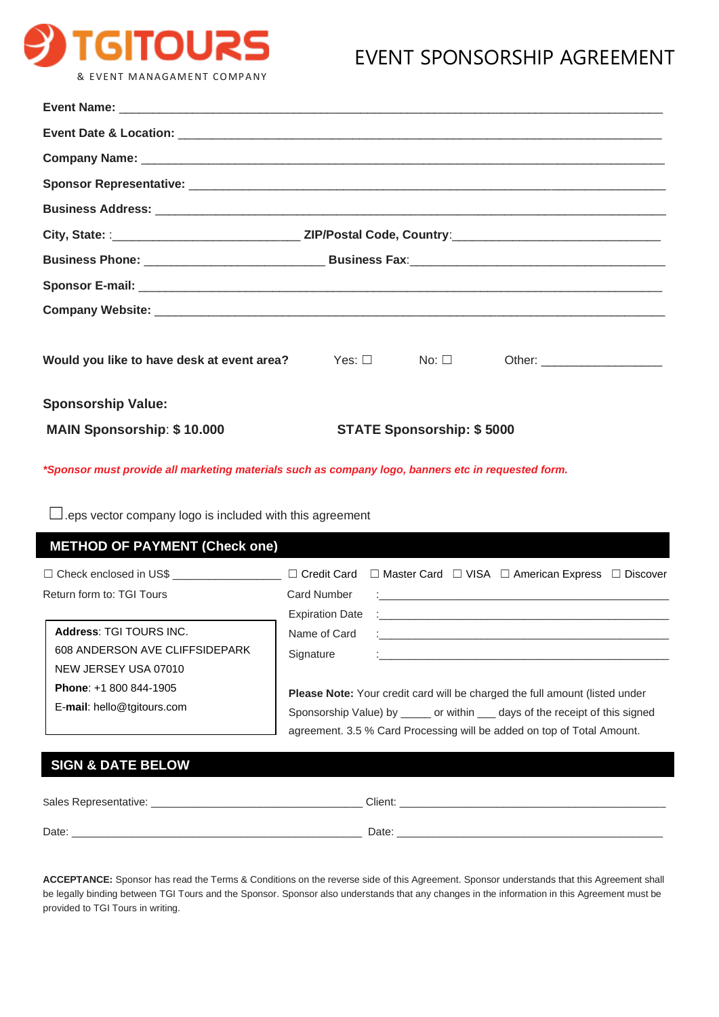

## EVENT SPONSORSHIP AGREEMENT

| Company Name: <u>Discovery Company Name:</u> Company Name: 2006. Company Name: 2006. Company Name: 2006. Company Name: 2006. Company Name: 2006. Company Name: 2008. Company Name: 2008. Company Name: 2008. Company Name: 2008. Co |                                                                                                       |  |  |  |
|-------------------------------------------------------------------------------------------------------------------------------------------------------------------------------------------------------------------------------------|-------------------------------------------------------------------------------------------------------|--|--|--|
|                                                                                                                                                                                                                                     |                                                                                                       |  |  |  |
|                                                                                                                                                                                                                                     |                                                                                                       |  |  |  |
|                                                                                                                                                                                                                                     | City, State: And Code, Country: All Andrews And Context Context Assembly Report of the Code, Country: |  |  |  |
|                                                                                                                                                                                                                                     |                                                                                                       |  |  |  |
|                                                                                                                                                                                                                                     |                                                                                                       |  |  |  |
|                                                                                                                                                                                                                                     |                                                                                                       |  |  |  |
| Would you like to have desk at event area?                                                                                                                                                                                          | $Yes: \Box$ No: $\Box$                                                                                |  |  |  |
| <b>Sponsorship Value:</b>                                                                                                                                                                                                           |                                                                                                       |  |  |  |
| <b>MAIN Sponsorship: \$10.000</b>                                                                                                                                                                                                   | <b>STATE Sponsorship: \$5000</b>                                                                      |  |  |  |

*\*Sponsor must provide all marketing materials such as company logo, banners etc in requested form.*

☐.eps vector company logo is included with this agreement

| <b>METHOD OF PAYMENT (Check one)</b>                                              |                                                                                                                                                                                                                                         |                                                                                                                                                                                                                                                                                                             |  |  |
|-----------------------------------------------------------------------------------|-----------------------------------------------------------------------------------------------------------------------------------------------------------------------------------------------------------------------------------------|-------------------------------------------------------------------------------------------------------------------------------------------------------------------------------------------------------------------------------------------------------------------------------------------------------------|--|--|
| $\Box$ Check enclosed in US\$<br>Return form to: TGI Tours                        | $\Box$ Credit Card<br>Card Number                                                                                                                                                                                                       | $\Box$ Master Card $\Box$ VISA $\Box$ American Express $\Box$ Discover                                                                                                                                                                                                                                      |  |  |
| Address: TGI TOURS INC.<br>608 ANDERSON AVE CLIFFSIDEPARK<br>NEW JERSEY USA 07010 | <b>Expiration Date</b><br>Name of Card<br>Signature                                                                                                                                                                                     | <u> 1990 - Johann John Stein, fransk politik (f. 1980)</u><br>$\ddot{\cdot}$ and $\dot{\cdot}$ and $\dot{\cdot}$ and $\dot{\cdot}$ and $\dot{\cdot}$ and $\dot{\cdot}$ and $\dot{\cdot}$ and $\dot{\cdot}$ and $\dot{\cdot}$ and $\dot{\cdot}$<br><u> 1986 - Johann Barnett, fransk komponent (d. 1986)</u> |  |  |
| <b>Phone:</b> $+1800844-1905$<br>E-mail: hello@tgitours.com                       | Please Note: Your credit card will be charged the full amount (listed under<br>Sponsorship Value) by ______ or within ____ days of the receipt of this signed<br>agreement. 3.5 % Card Processing will be added on top of Total Amount. |                                                                                                                                                                                                                                                                                                             |  |  |
| <b>SIGN &amp; DATE BELOW</b>                                                      |                                                                                                                                                                                                                                         |                                                                                                                                                                                                                                                                                                             |  |  |

| Sales Representative: _ | Client. |
|-------------------------|---------|
| Date:                   | Date:   |

**ACCEPTANCE:** Sponsor has read the Terms & Conditions on the reverse side of this Agreement. Sponsor understands that this Agreement shall be legally binding between TGI Tours and the Sponsor. Sponsor also understands that any changes in the information in this Agreement must be provided to TGI Tours in writing.